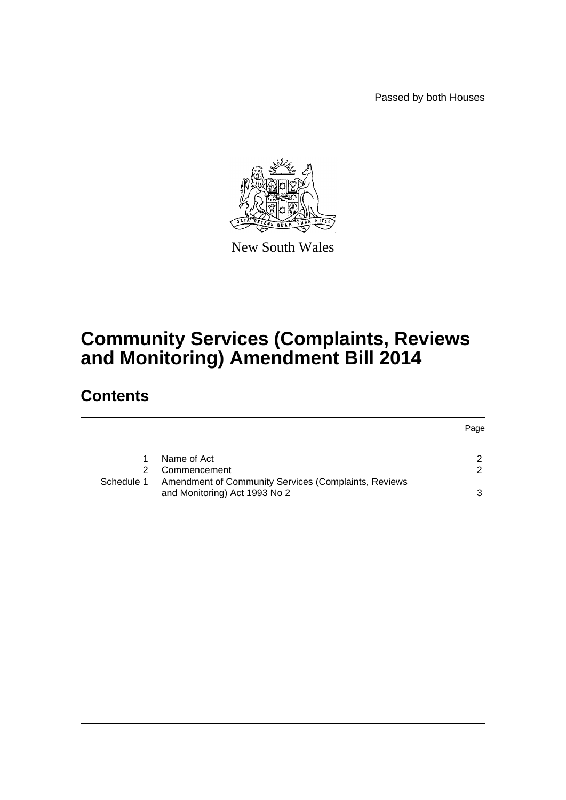Passed by both Houses



New South Wales

# **Community Services (Complaints, Reviews and Monitoring) Amendment Bill 2014**

## **Contents**

|            |                                                      | Page |
|------------|------------------------------------------------------|------|
|            | Name of Act                                          |      |
| 2.         | Commencement                                         | 2    |
| Schedule 1 | Amendment of Community Services (Complaints, Reviews |      |
|            | and Monitoring) Act 1993 No 2                        | ર    |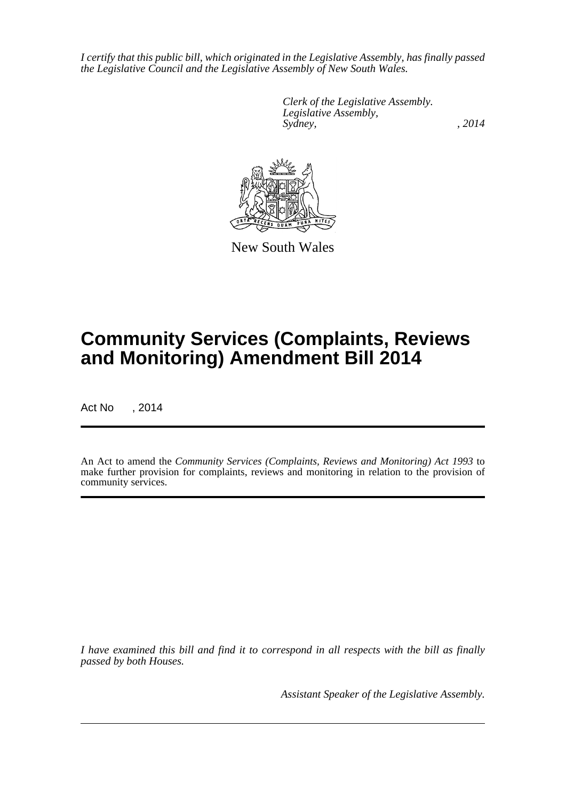*I certify that this public bill, which originated in the Legislative Assembly, has finally passed the Legislative Council and the Legislative Assembly of New South Wales.*

> *Clerk of the Legislative Assembly. Legislative Assembly, Sydney,* , 2014



New South Wales

# **Community Services (Complaints, Reviews and Monitoring) Amendment Bill 2014**

Act No , 2014

An Act to amend the *Community Services (Complaints, Reviews and Monitoring) Act 1993* to make further provision for complaints, reviews and monitoring in relation to the provision of community services.

*I have examined this bill and find it to correspond in all respects with the bill as finally passed by both Houses.*

*Assistant Speaker of the Legislative Assembly.*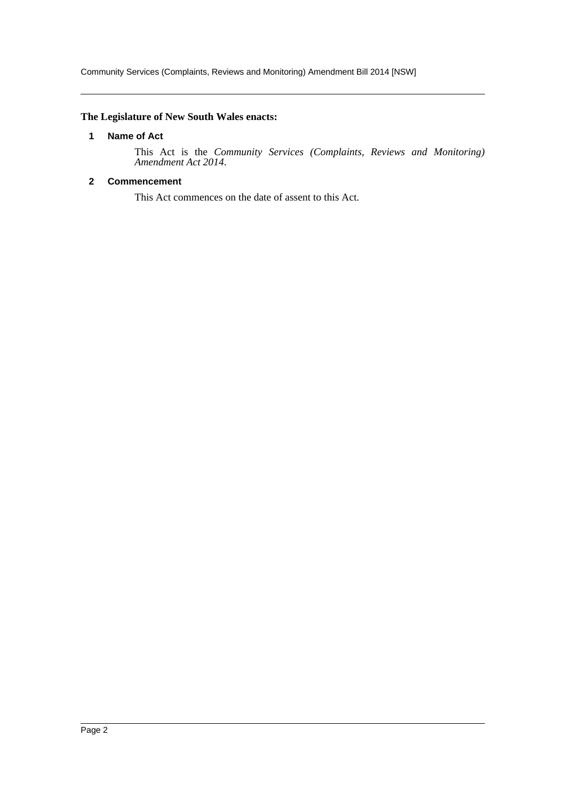Community Services (Complaints, Reviews and Monitoring) Amendment Bill 2014 [NSW]

#### <span id="page-2-0"></span>**The Legislature of New South Wales enacts:**

#### **1 Name of Act**

This Act is the *Community Services (Complaints, Reviews and Monitoring) Amendment Act 2014*.

#### <span id="page-2-1"></span>**2 Commencement**

This Act commences on the date of assent to this Act.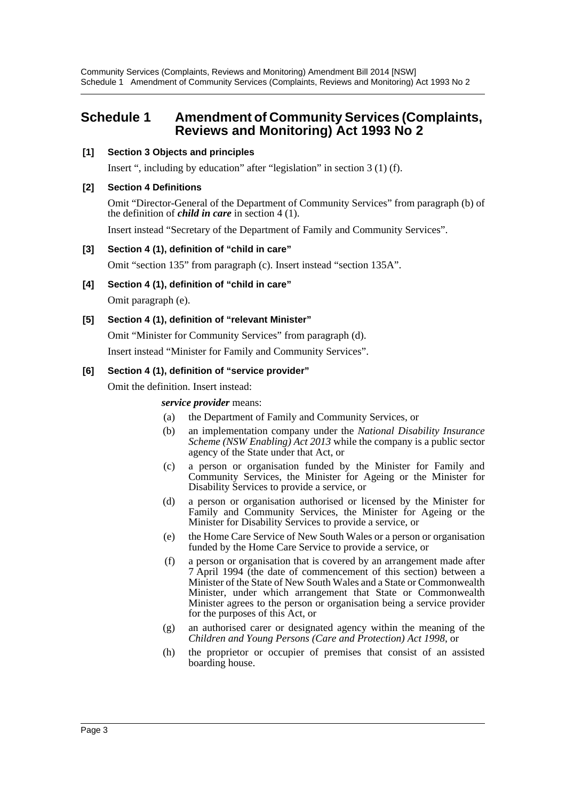Community Services (Complaints, Reviews and Monitoring) Amendment Bill 2014 [NSW] Schedule 1 Amendment of Community Services (Complaints, Reviews and Monitoring) Act 1993 No 2

### <span id="page-3-0"></span>**Schedule 1 Amendment of Community Services (Complaints, Reviews and Monitoring) Act 1993 No 2**

#### **[1] Section 3 Objects and principles**

Insert ", including by education" after "legislation" in section 3 (1) (f).

#### **[2] Section 4 Definitions**

Omit "Director-General of the Department of Community Services" from paragraph (b) of the definition of *child in care* in section 4 (1).

Insert instead "Secretary of the Department of Family and Community Services".

#### **[3] Section 4 (1), definition of "child in care"**

Omit "section 135" from paragraph (c). Insert instead "section 135A".

**[4] Section 4 (1), definition of "child in care"**

Omit paragraph (e).

#### **[5] Section 4 (1), definition of "relevant Minister"**

Omit "Minister for Community Services" from paragraph (d).

Insert instead "Minister for Family and Community Services".

#### **[6] Section 4 (1), definition of "service provider"**

Omit the definition. Insert instead:

#### *service provider* means:

- (a) the Department of Family and Community Services, or
- (b) an implementation company under the *National Disability Insurance Scheme (NSW Enabling) Act 2013* while the company is a public sector agency of the State under that Act, or
- (c) a person or organisation funded by the Minister for Family and Community Services, the Minister for Ageing or the Minister for Disability Services to provide a service, or
- (d) a person or organisation authorised or licensed by the Minister for Family and Community Services, the Minister for Ageing or the Minister for Disability Services to provide a service, or
- (e) the Home Care Service of New South Wales or a person or organisation funded by the Home Care Service to provide a service, or
- (f) a person or organisation that is covered by an arrangement made after 7 April 1994 (the date of commencement of this section) between a Minister of the State of New South Wales and a State or Commonwealth Minister, under which arrangement that State or Commonwealth Minister agrees to the person or organisation being a service provider for the purposes of this Act, or
- (g) an authorised carer or designated agency within the meaning of the *Children and Young Persons (Care and Protection) Act 1998*, or
- (h) the proprietor or occupier of premises that consist of an assisted boarding house.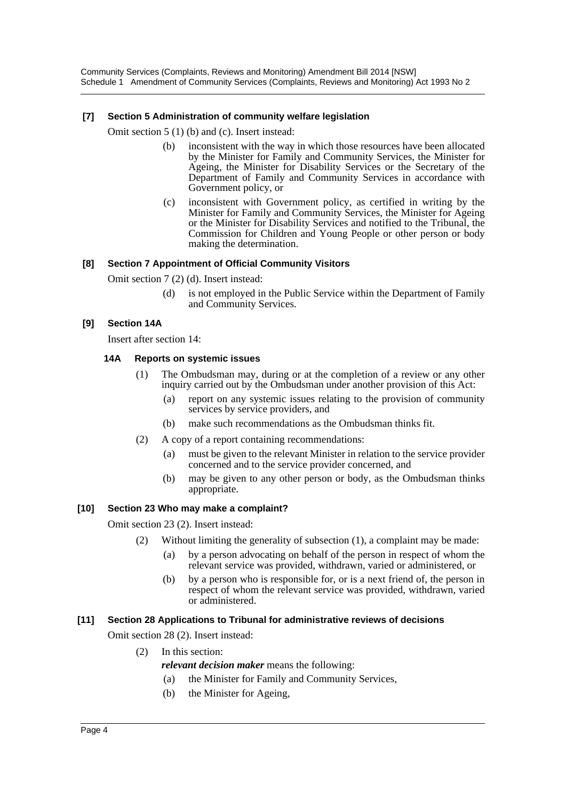Community Services (Complaints, Reviews and Monitoring) Amendment Bill 2014 [NSW] Schedule 1 Amendment of Community Services (Complaints, Reviews and Monitoring) Act 1993 No 2

#### **[7] Section 5 Administration of community welfare legislation**

Omit section 5 (1) (b) and (c). Insert instead:

- (b) inconsistent with the way in which those resources have been allocated by the Minister for Family and Community Services, the Minister for Ageing, the Minister for Disability Services or the Secretary of the Department of Family and Community Services in accordance with Government policy, or
- (c) inconsistent with Government policy, as certified in writing by the Minister for Family and Community Services, the Minister for Ageing or the Minister for Disability Services and notified to the Tribunal, the Commission for Children and Young People or other person or body making the determination.

#### **[8] Section 7 Appointment of Official Community Visitors**

Omit section 7 (2) (d). Insert instead:

(d) is not employed in the Public Service within the Department of Family and Community Services.

#### **[9] Section 14A**

Insert after section 14:

#### **14A Reports on systemic issues**

- (1) The Ombudsman may, during or at the completion of a review or any other inquiry carried out by the Ombudsman under another provision of this Act:
	- (a) report on any systemic issues relating to the provision of community services by service providers, and
	- (b) make such recommendations as the Ombudsman thinks fit.
- (2) A copy of a report containing recommendations:
	- (a) must be given to the relevant Minister in relation to the service provider concerned and to the service provider concerned, and
	- (b) may be given to any other person or body, as the Ombudsman thinks appropriate.

#### **[10] Section 23 Who may make a complaint?**

Omit section 23 (2). Insert instead:

- (2) Without limiting the generality of subsection (1), a complaint may be made:
	- (a) by a person advocating on behalf of the person in respect of whom the relevant service was provided, withdrawn, varied or administered, or
	- (b) by a person who is responsible for, or is a next friend of, the person in respect of whom the relevant service was provided, withdrawn, varied or administered.

#### **[11] Section 28 Applications to Tribunal for administrative reviews of decisions**

Omit section 28 (2). Insert instead:

- (2) In this section:
	- *relevant decision maker* means the following:
	- (a) the Minister for Family and Community Services,
	- (b) the Minister for Ageing,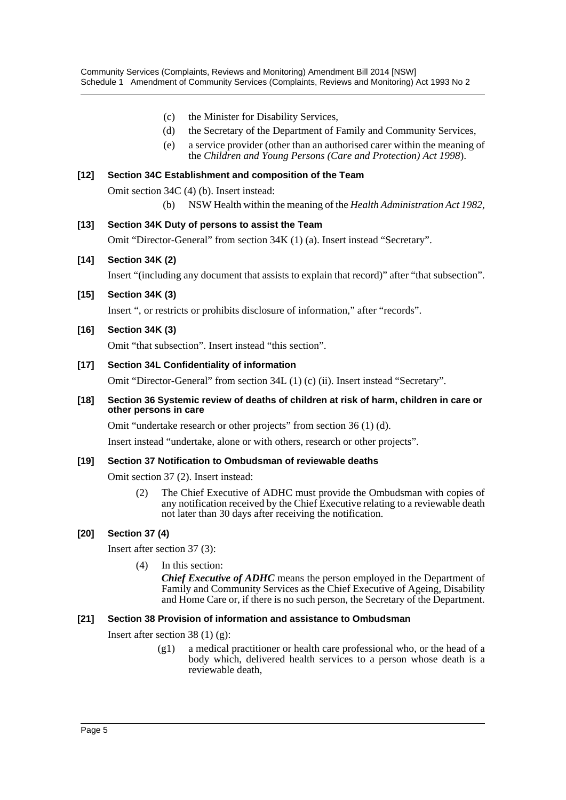- (c) the Minister for Disability Services,
- (d) the Secretary of the Department of Family and Community Services,
- (e) a service provider (other than an authorised carer within the meaning of the *Children and Young Persons (Care and Protection) Act 1998*).

#### **[12] Section 34C Establishment and composition of the Team**

Omit section 34C (4) (b). Insert instead:

(b) NSW Health within the meaning of the *Health Administration Act 1982*,

#### **[13] Section 34K Duty of persons to assist the Team**

Omit "Director-General" from section 34K (1) (a). Insert instead "Secretary".

#### **[14] Section 34K (2)**

Insert "(including any document that assists to explain that record)" after "that subsection".

#### **[15] Section 34K (3)**

Insert ", or restricts or prohibits disclosure of information," after "records".

#### **[16] Section 34K (3)**

Omit "that subsection". Insert instead "this section".

#### **[17] Section 34L Confidentiality of information**

Omit "Director-General" from section 34L (1) (c) (ii). Insert instead "Secretary".

#### **[18] Section 36 Systemic review of deaths of children at risk of harm, children in care or other persons in care**

Omit "undertake research or other projects" from section 36 (1) (d).

Insert instead "undertake, alone or with others, research or other projects".

#### **[19] Section 37 Notification to Ombudsman of reviewable deaths**

Omit section 37 (2). Insert instead:

(2) The Chief Executive of ADHC must provide the Ombudsman with copies of any notification received by the Chief Executive relating to a reviewable death not later than 30 days after receiving the notification.

#### **[20] Section 37 (4)**

Insert after section 37 (3):

(4) In this section:

*Chief Executive of ADHC* means the person employed in the Department of Family and Community Services as the Chief Executive of Ageing, Disability and Home Care or, if there is no such person, the Secretary of the Department.

#### **[21] Section 38 Provision of information and assistance to Ombudsman**

Insert after section 38 (1) (g):

(g1) a medical practitioner or health care professional who, or the head of a body which, delivered health services to a person whose death is a reviewable death,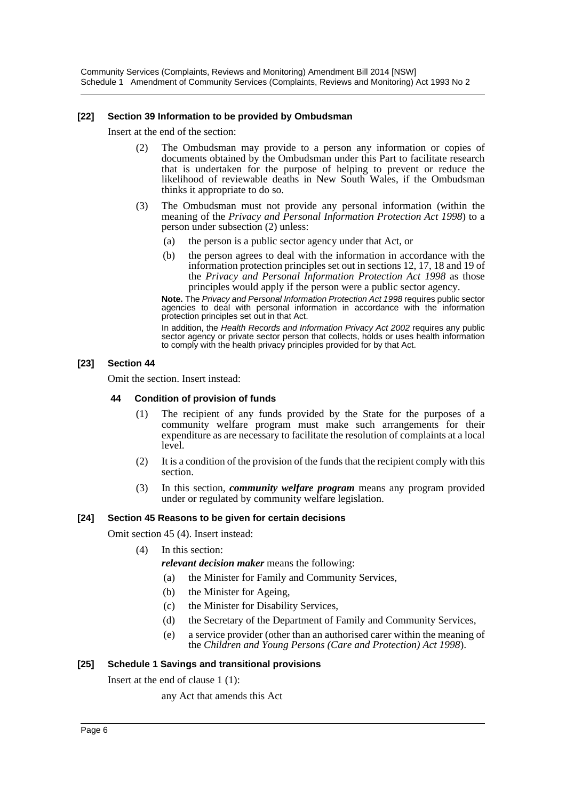Community Services (Complaints, Reviews and Monitoring) Amendment Bill 2014 [NSW] Schedule 1 Amendment of Community Services (Complaints, Reviews and Monitoring) Act 1993 No 2

#### **[22] Section 39 Information to be provided by Ombudsman**

Insert at the end of the section:

- (2) The Ombudsman may provide to a person any information or copies of documents obtained by the Ombudsman under this Part to facilitate research that is undertaken for the purpose of helping to prevent or reduce the likelihood of reviewable deaths in New South Wales, if the Ombudsman thinks it appropriate to do so.
- (3) The Ombudsman must not provide any personal information (within the meaning of the *Privacy and Personal Information Protection Act 1998*) to a person under subsection (2) unless:
	- (a) the person is a public sector agency under that Act, or
	- (b) the person agrees to deal with the information in accordance with the information protection principles set out in sections 12, 17, 18 and 19 of the *Privacy and Personal Information Protection Act 1998* as those principles would apply if the person were a public sector agency.

**Note.** The *Privacy and Personal Information Protection Act 1998* requires public sector agencies to deal with personal information in accordance with the information protection principles set out in that Act.

In addition, the *Health Records and Information Privacy Act 2002* requires any public sector agency or private sector person that collects, holds or uses health information to comply with the health privacy principles provided for by that Act.

#### **[23] Section 44**

Omit the section. Insert instead:

#### **44 Condition of provision of funds**

- (1) The recipient of any funds provided by the State for the purposes of a community welfare program must make such arrangements for their expenditure as are necessary to facilitate the resolution of complaints at a local level.
- (2) It is a condition of the provision of the funds that the recipient comply with this section.
- (3) In this section, *community welfare program* means any program provided under or regulated by community welfare legislation.

#### **[24] Section 45 Reasons to be given for certain decisions**

Omit section 45 (4). Insert instead:

- (4) In this section:
	- *relevant decision maker* means the following:
		- (a) the Minister for Family and Community Services,
		- (b) the Minister for Ageing,
		- (c) the Minister for Disability Services,
		- (d) the Secretary of the Department of Family and Community Services,
		- (e) a service provider (other than an authorised carer within the meaning of the *Children and Young Persons (Care and Protection) Act 1998*).

#### **[25] Schedule 1 Savings and transitional provisions**

Insert at the end of clause 1 (1):

any Act that amends this Act